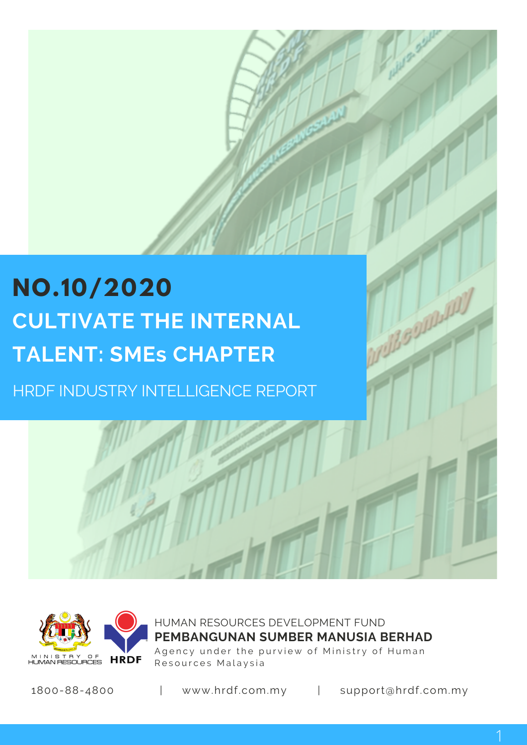# **NO.10/2020 CULTIVATE THE INTERNAL TALENT: SMEs CHAPTER**

HRDF INDUSTRY INTELLIGENCE REPORT



HUMAN RESOURCES DEVELOPMENT FUND Agency under the purview of Ministry of Human Resources Malaysia **PEMBANGUNAN SUMBER MANUSIA BERHAD**

1800-88-4800 | www.hrdf.com.my | support@hrdf.com.my

BOILE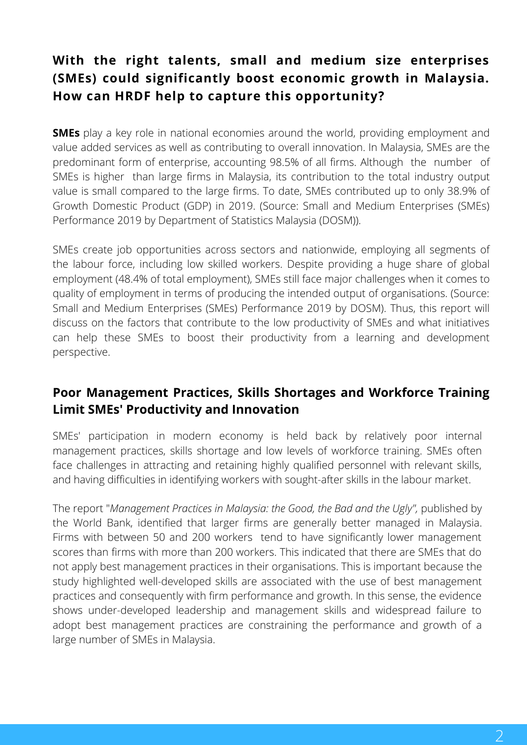# **With the right talents, small and medium size enterprises (SMEs) could significantly boost economic growth in Malaysia. How can HRDF help to capture this opportunity?**

**SMEs** play a key role in national economies around the world, providing employment and value added services as well as contributing to overall innovation. In Malaysia, SMEs are the predominant form of enterprise, accounting 98.5% of all firms. Although the number of SMEs is higher than large firms in Malaysia, its contribution to the total industry output value is small compared to the large firms. To date, SMEs contributed up to only 38.9% of Growth Domestic Product (GDP) in 2019. (Source: Small and Medium Enterprises (SMEs) Performance 2019 by Department of Statistics Malaysia (DOSM)).

SMEs create job opportunities across sectors and nationwide, employing all segments of the labour force, including low skilled workers. Despite providing a huge share of global employment (48.4% of total employment), SMEs still face major challenges when it comes to quality of employment in terms of producing the intended output of organisations. (Source: Small and Medium Enterprises (SMEs) Performance 2019 by DOSM). Thus, this report will discuss on the factors that contribute to the low productivity of SMEs and what initiatives can help these SMEs to boost their productivity from a learning and development perspective.

# **Poor Management Practices, Skills Shortages and Workforce Training Limit SMEs' Productivity and Innovation**

SMEs' participation in modern economy is held back by relatively poor internal management practices, skills shortage and low levels of workforce training. SMEs often face challenges in attracting and retaining highly qualified personnel with relevant skills, and having difficulties in identifying workers with sought-after skills in the labour market.

The report "*Management Practices in Malaysia: the Good, the Bad and the Ugly", published by* the World Bank, identified that larger firms are generally better managed in Malaysia. Firms with between 50 and 200 workers tend to have significantly lower management scores than firms with more than 200 workers. This indicated that there are SMEs that do not apply best management practices in their organisations. This is important because the study highlighted well-developed skills are associated with the use of best management practices and consequently with firm performance and growth. In this sense, the evidence shows under-developed leadership and management skills and widespread failure to adopt best management practices are constraining the performance and growth of a large number of SMEs in Malaysia.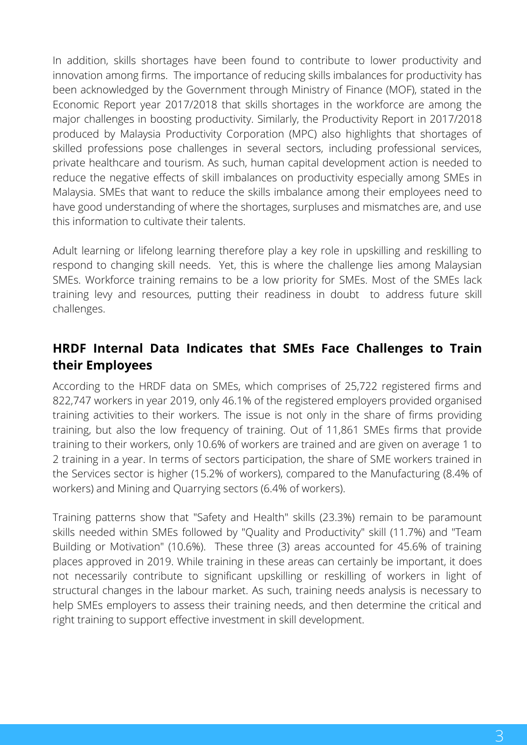In addition, skills shortages have been found to contribute to lower productivity and innovation among firms. The importance of reducing skills imbalances for productivity has been acknowledged by the Government through Ministry of Finance (MOF), stated in the Economic Report year 2017/2018 that skills shortages in the workforce are among the major challenges in boosting productivity. Similarly, the Productivity Report in 2017/2018 produced by Malaysia Productivity Corporation (MPC) also highlights that shortages of skilled professions pose challenges in several sectors, including professional services, private healthcare and tourism. As such, human capital development action is needed to reduce the negative effects of skill imbalances on productivity especially among SMEs in Malaysia. SMEs that want to reduce the skills imbalance among their employees need to have good understanding of where the shortages, surpluses and mismatches are, and use this information to cultivate their talents.

Adult learning or lifelong learning therefore play a key role in upskilling and reskilling to respond to changing skill needs. Yet, this is where the challenge lies among Malaysian SMEs. Workforce training remains to be a low priority for SMEs. Most of the SMEs lack training levy and resources, putting their readiness in doubt to address future skill challenges.

# **HRDF Internal Data Indicates that SMEs Face Challenges to Train their Employees**

According to the HRDF data on SMEs, which comprises of 25,722 registered firms and 822,747 workers in year 2019, only 46.1% of the registered employers provided organised training activities to their workers. The issue is not only in the share of firms providing training, but also the low frequency of training. Out of 11,861 SMEs firms that provide training to their workers, only 10.6% of workers are trained and are given on average 1 to 2 training in a year. In terms of sectors participation, the share of SME workers trained in the Services sector is higher (15.2% of workers), compared to the Manufacturing (8.4% of workers) and Mining and Quarrying sectors (6.4% of workers).

Training patterns show that "Safety and Health" skills (23.3%) remain to be paramount skills needed within SMEs followed by "Quality and Productivity" skill (11.7%) and "Team Building or Motivation" (10.6%). These three (3) areas accounted for 45.6% of training places approved in 2019. While training in these areas can certainly be important, it does not necessarily contribute to significant upskilling or reskilling of workers in light of structural changes in the labour market. As such, training needs analysis is necessary to help SMEs employers to assess their training needs, and then determine the critical and right training to support effective investment in skill development.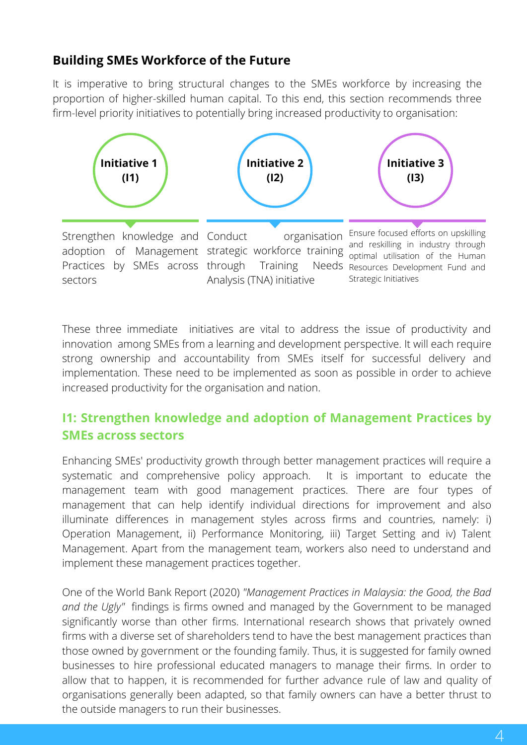#### **Building SMEs Workforce of the Future**

It is imperative to bring structural changes to the SMEs workforce by increasing the proportion of higher-skilled human capital. To this end, this section recommends three firm-level priority initiatives to potentially bring increased productivity to organisation:



These three immediate initiatives are vital to address the issue of productivity and innovation among SMEs from a learning and development perspective. It will each require strong ownership and accountability from SMEs itself for successful delivery and implementation. These need to be implemented as soon as possible in order to achieve increased productivity for the organisation and nation.

#### **I1: Strengthen knowledge and adoption of Management Practices by SMEs across sectors**

Enhancing SMEs' productivity growth through better management practices will require a systematic and comprehensive policy approach. It is important to educate the management team with good management practices. There are four types of management that can help identify individual directions for improvement and also illuminate differences in management styles across firms and countries, namely: i) Operation Management, ii) Performance Monitoring, iii) Target Setting and iv) Talent Management. Apart from the management team, workers also need to understand and implement these management practices together.

One of the World Bank Report (2020) *"Management Practices in Malaysia: the Good, the Bad and the Ugly"* findings is firms owned and managed by the Government to be managed significantly worse than other firms. International research shows that privately owned firms with a diverse set of shareholders tend to have the best management practices than those owned by government or the founding family. Thus, it is suggested for family owned businesses to hire professional educated managers to manage their firms. In order to allow that to happen, it is recommended for further advance rule of law and quality of organisations generally been adapted, so that family owners can have a better thrust to the outside managers to run their businesses.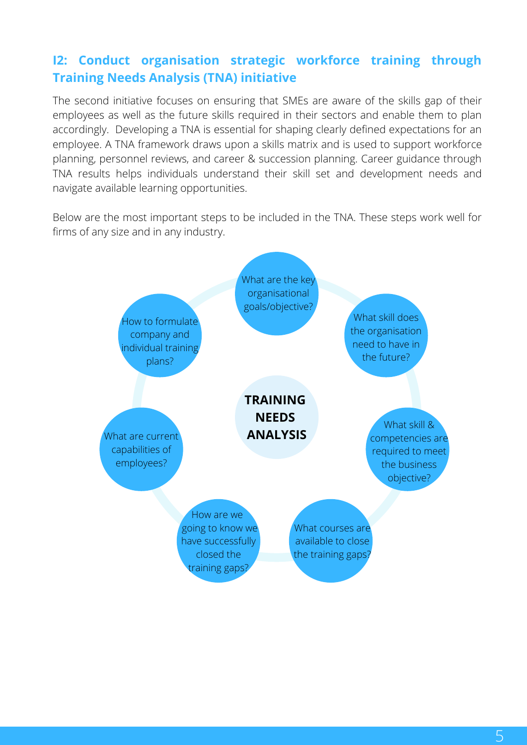# **I2: Conduct organisation strategic workforce training through Training Needs Analysis (TNA) initiative**

The second initiative focuses on ensuring that SMEs are aware of the skills gap of their employees as well as the future skills required in their sectors and enable them to plan accordingly. Developing a TNA is essential for shaping clearly defined expectations for an employee. A TNA framework draws upon a skills matrix and is used to support workforce planning, personnel reviews, and career & succession planning. Career guidance through TNA results helps individuals understand their skill set and development needs and navigate available learning opportunities.

Below are the most important steps to be included in the TNA. These steps work well for firms of any size and in any industry.